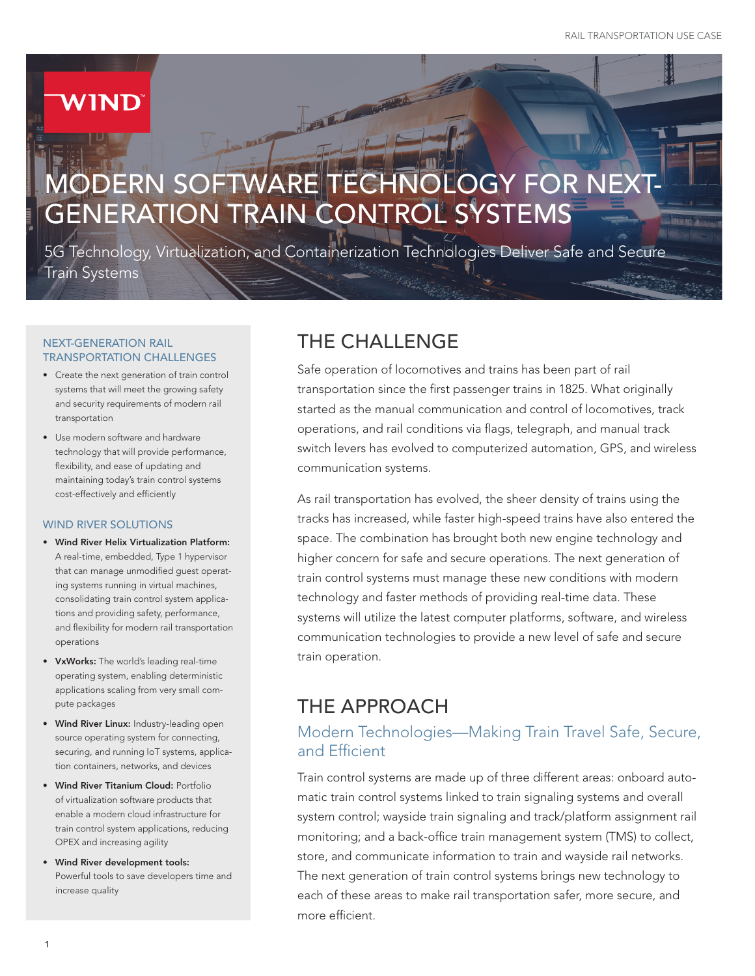# IND

# ERN SOFTWARE TECHNOLOGY FOR NEXT GENERATION TRAIN CONTROL SYSTEMS

5G Technology, Virtualization, and Containerization Technologies Deliver Safe and Secure Train Systems

#### NEXT-GENERATION RAIL TRANSPORTATION CHALLENGES

- Create the next generation of train control systems that will meet the growing safety and security requirements of modern rail transportation
- Use modern software and hardware technology that will provide performance, flexibility, and ease of updating and maintaining today's train control systems cost-effectively and efficiently

#### WIND RIVER SOLUTIONS

- Wind River Helix Virtualization Platform: A real-time, embedded, Type 1 hypervisor that can manage unmodified guest operating systems running in virtual machines, consolidating train control system applications and providing safety, performance, and flexibility for modern rail transportation operations
- VxWorks: The world's leading real-time operating system, enabling deterministic applications scaling from very small compute packages
- Wind River Linux: Industry-leading open source operating system for connecting, securing, and running IoT systems, application containers, networks, and devices
- Wind River Titanium Cloud: Portfolio of virtualization software products that enable a modern cloud infrastructure for train control system applications, reducing OPEX and increasing agility
- Wind River development tools: Powerful tools to save developers time and increase quality

# THE CHALLENGE

Safe operation of locomotives and trains has been part of rail transportation since the first passenger trains in 1825. What originally started as the manual communication and control of locomotives, track operations, and rail conditions via flags, telegraph, and manual track switch levers has evolved to computerized automation, GPS, and wireless communication systems.

As rail transportation has evolved, the sheer density of trains using the tracks has increased, while faster high-speed trains have also entered the space. The combination has brought both new engine technology and higher concern for safe and secure operations. The next generation of train control systems must manage these new conditions with modern technology and faster methods of providing real-time data. These systems will utilize the latest computer platforms, software, and wireless communication technologies to provide a new level of safe and secure train operation.

## THE APPROACH

### Modern Technologies—Making Train Travel Safe, Secure, and Efficient

Train control systems are made up of three different areas: onboard automatic train control systems linked to train signaling systems and overall system control; wayside train signaling and track/platform assignment rail monitoring; and a back-office train management system (TMS) to collect, store, and communicate information to train and wayside rail networks. The next generation of train control systems brings new technology to each of these areas to make rail transportation safer, more secure, and more efficient.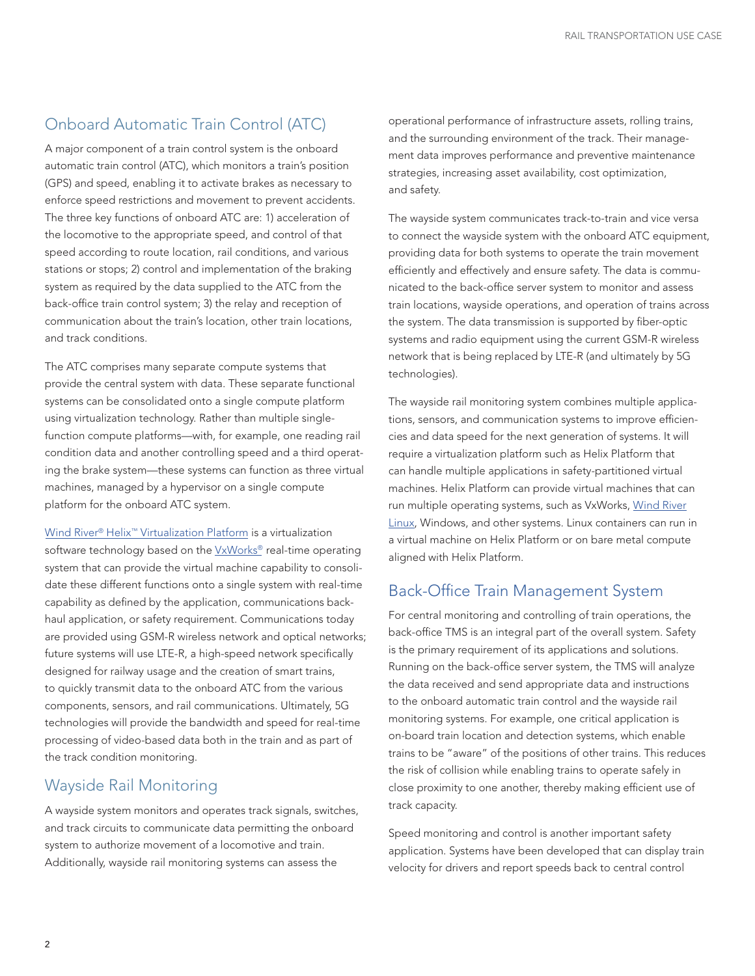### Onboard Automatic Train Control (ATC)

A major component of a train control system is the onboard automatic train control (ATC), which monitors a train's position (GPS) and speed, enabling it to activate brakes as necessary to enforce speed restrictions and movement to prevent accidents. The three key functions of onboard ATC are: 1) acceleration of the locomotive to the appropriate speed, and control of that speed according to route location, rail conditions, and various stations or stops; 2) control and implementation of the braking system as required by the data supplied to the ATC from the back-office train control system; 3) the relay and reception of communication about the train's location, other train locations, and track conditions.

The ATC comprises many separate compute systems that provide the central system with data. These separate functional systems can be consolidated onto a single compute platform using virtualization technology. Rather than multiple singlefunction compute platforms—with, for example, one reading rail condition data and another controlling speed and a third operating the brake system—these systems can function as three virtual machines, managed by a hypervisor on a single compute platform for the onboard ATC system.

[Wind River® Helix™ Virtualization Platform](https://www.windriver.com/products/helix-platform/?utm_source=modern-software-technology-for-next-generation-train-control-systems&utm_medium=use-case&utm_campaign=Industrial-Rail-Transportation-2019) is a virtualization software technology based on the VxWorks<sup>®</sup> real-time operating system that can provide the virtual machine capability to consolidate these different functions onto a single system with real-time capability as defined by the application, communications backhaul application, or safety requirement. Communications today are provided using GSM-R wireless network and optical networks; future systems will use LTE-R, a high-speed network specifically designed for railway usage and the creation of smart trains, to quickly transmit data to the onboard ATC from the various components, sensors, and rail communications. Ultimately, 5G technologies will provide the bandwidth and speed for real-time processing of video-based data both in the train and as part of the track condition monitoring.

#### Wayside Rail Monitoring

A wayside system monitors and operates track signals, switches, and track circuits to communicate data permitting the onboard system to authorize movement of a locomotive and train. Additionally, wayside rail monitoring systems can assess the

operational performance of infrastructure assets, rolling trains, and the surrounding environment of the track. Their management data improves performance and preventive maintenance strategies, increasing asset availability, cost optimization, and safety.

The wayside system communicates track-to-train and vice versa to connect the wayside system with the onboard ATC equipment, providing data for both systems to operate the train movement efficiently and effectively and ensure safety. The data is communicated to the back-office server system to monitor and assess train locations, wayside operations, and operation of trains across the system. The data transmission is supported by fiber-optic systems and radio equipment using the current GSM-R wireless network that is being replaced by LTE-R (and ultimately by 5G technologies).

The wayside rail monitoring system combines multiple applications, sensors, and communication systems to improve efficiencies and data speed for the next generation of systems. It will require a virtualization platform such as Helix Platform that can handle multiple applications in safety-partitioned virtual machines. Helix Platform can provide virtual machines that can run multiple operating systems, such as VxWorks, [Wind River](https://www.windriver.com/products/linux/?utm_source=modern-software-technology-for-next-generation-train-control-systems&utm_medium=use-case&utm_campaign=Industrial-Rail-Transportation-2019) [Linux,](https://www.windriver.com/products/linux/?utm_source=modern-software-technology-for-next-generation-train-control-systems&utm_medium=use-case&utm_campaign=Industrial-Rail-Transportation-2019) Windows, and other systems. Linux containers can run in a virtual machine on Helix Platform or on bare metal compute aligned with Helix Platform.

#### Back-Office Train Management System

For central monitoring and controlling of train operations, the back-office TMS is an integral part of the overall system. Safety is the primary requirement of its applications and solutions. Running on the back-office server system, the TMS will analyze the data received and send appropriate data and instructions to the onboard automatic train control and the wayside rail monitoring systems. For example, one critical application is on-board train location and detection systems, which enable trains to be "aware" of the positions of other trains. This reduces the risk of collision while enabling trains to operate safely in close proximity to one another, thereby making efficient use of track capacity.

Speed monitoring and control is another important safety application. Systems have been developed that can display train velocity for drivers and report speeds back to central control